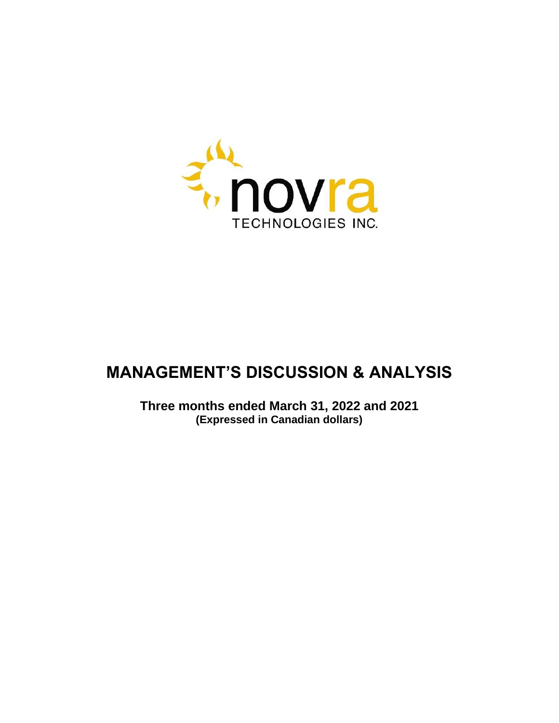

# **MANAGEMENT'S DISCUSSION & ANALYSIS**

**Three months ended March 31, 2022 and 2021 (Expressed in Canadian dollars)**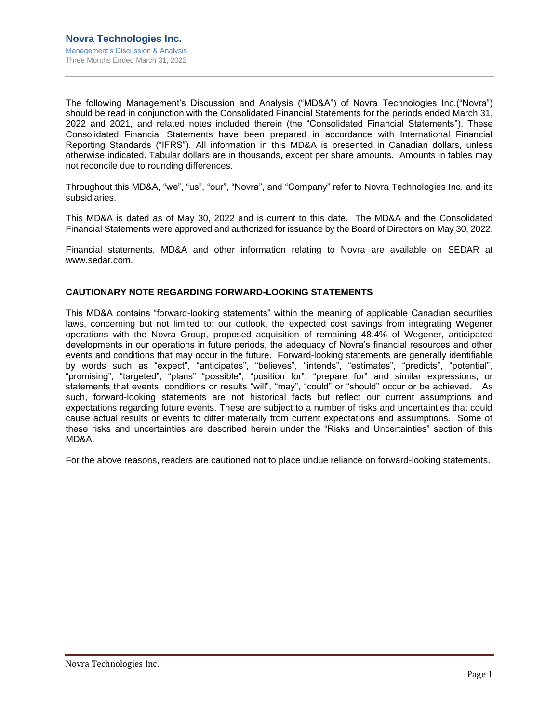The following Management's Discussion and Analysis ("MD&A") of Novra Technologies Inc.("Novra") should be read in conjunction with the Consolidated Financial Statements for the periods ended March 31, 2022 and 2021, and related notes included therein (the "Consolidated Financial Statements"). These Consolidated Financial Statements have been prepared in accordance with International Financial Reporting Standards ("IFRS"). All information in this MD&A is presented in Canadian dollars, unless otherwise indicated. Tabular dollars are in thousands, except per share amounts. Amounts in tables may not reconcile due to rounding differences.

Throughout this MD&A, "we", "us", "our", "Novra", and "Company" refer to Novra Technologies Inc. and its subsidiaries.

This MD&A is dated as of May 30, 2022 and is current to this date. The MD&A and the Consolidated Financial Statements were approved and authorized for issuance by the Board of Directors on May 30, 2022.

Financial statements, MD&A and other information relating to Novra are available on SEDAR at [www.sedar.com.](http://www.sedar.com/)

## **CAUTIONARY NOTE REGARDING FORWARD-LOOKING STATEMENTS**

This MD&A contains "forward-looking statements" within the meaning of applicable Canadian securities laws, concerning but not limited to: our outlook, the expected cost savings from integrating Wegener operations with the Novra Group, proposed acquisition of remaining 48.4% of Wegener, anticipated developments in our operations in future periods, the adequacy of Novra's financial resources and other events and conditions that may occur in the future. Forward-looking statements are generally identifiable by words such as "expect", "anticipates", "believes", "intends", "estimates", "predicts", "potential", "promising", "targeted", "plans" "possible", "position for", "prepare for" and similar expressions, or statements that events, conditions or results "will", "may", "could" or "should" occur or be achieved. As such, forward-looking statements are not historical facts but reflect our current assumptions and expectations regarding future events. These are subject to a number of risks and uncertainties that could cause actual results or events to differ materially from current expectations and assumptions. Some of these risks and uncertainties are described herein under the "Risks and Uncertainties" section of this MD&A.

For the above reasons, readers are cautioned not to place undue reliance on forward-looking statements.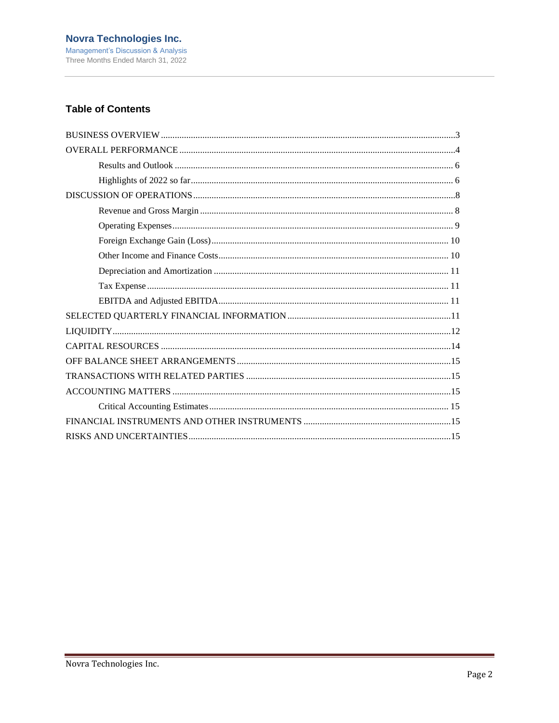## **Table of Contents**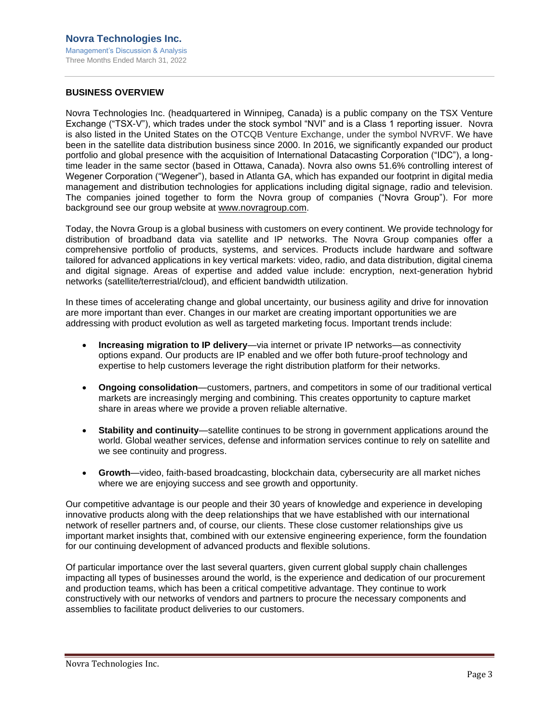## <span id="page-3-0"></span>**BUSINESS OVERVIEW**

Novra Technologies Inc. (headquartered in Winnipeg, Canada) is a public company on the TSX Venture Exchange ("TSX-V"), which trades under the stock symbol "NVI" and is a Class 1 reporting issuer. Novra is also listed in the United States on the OTCQB Venture Exchange, under the symbol NVRVF. We have been in the satellite data distribution business since 2000. In 2016, we significantly expanded our product portfolio and global presence with the acquisition of International Datacasting Corporation ("IDC"), a longtime leader in the same sector (based in Ottawa, Canada). Novra also owns 51.6% controlling interest of Wegener Corporation ("Wegener"), based in Atlanta GA, which has expanded our footprint in digital media management and distribution technologies for applications including digital signage, radio and television. The companies joined together to form the Novra group of companies ("Novra Group"). For more background see our group website at [www.novragroup.com.](http://www.novragroup.com/)

Today, the Novra Group is a global business with customers on every continent. We provide technology for distribution of broadband data via satellite and IP networks. The Novra Group companies offer a comprehensive portfolio of products, systems, and services. Products include hardware and software tailored for advanced applications in key vertical markets: video, radio, and data distribution, digital cinema and digital signage. Areas of expertise and added value include: encryption, next-generation hybrid networks (satellite/terrestrial/cloud), and efficient bandwidth utilization.

In these times of accelerating change and global uncertainty, our business agility and drive for innovation are more important than ever. Changes in our market are creating important opportunities we are addressing with product evolution as well as targeted marketing focus. Important trends include:

- **Increasing migration to IP delivery**—via internet or private IP networks—as connectivity options expand. Our products are IP enabled and we offer both future-proof technology and expertise to help customers leverage the right distribution platform for their networks.
- **Ongoing consolidation**—customers, partners, and competitors in some of our traditional vertical markets are increasingly merging and combining. This creates opportunity to capture market share in areas where we provide a proven reliable alternative.
- **Stability and continuity**—satellite continues to be strong in government applications around the world. Global weather services, defense and information services continue to rely on satellite and we see continuity and progress.
- **Growth**—video, faith-based broadcasting, blockchain data, cybersecurity are all market niches where we are enjoying success and see growth and opportunity.

Our competitive advantage is our people and their 30 years of knowledge and experience in developing innovative products along with the deep relationships that we have established with our international network of reseller partners and, of course, our clients. These close customer relationships give us important market insights that, combined with our extensive engineering experience, form the foundation for our continuing development of advanced products and flexible solutions.

Of particular importance over the last several quarters, given current global supply chain challenges impacting all types of businesses around the world, is the experience and dedication of our procurement and production teams, which has been a critical competitive advantage. They continue to work constructively with our networks of vendors and partners to procure the necessary components and assemblies to facilitate product deliveries to our customers.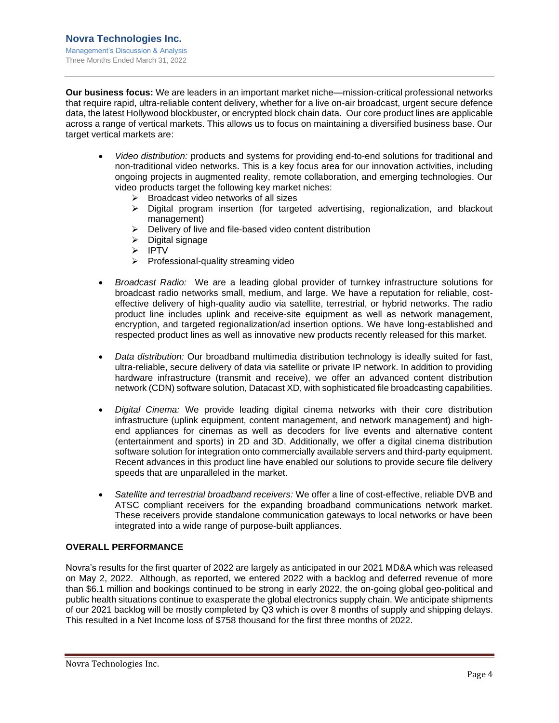**Our business focus:** We are leaders in an important market niche—mission-critical professional networks that require rapid, ultra-reliable content delivery, whether for a live on-air broadcast, urgent secure defence data, the latest Hollywood blockbuster, or encrypted block chain data. Our core product lines are applicable across a range of vertical markets. This allows us to focus on maintaining a diversified business base. Our target vertical markets are:

- *Video distribution:* products and systems for providing end-to-end solutions for traditional and non-traditional video networks. This is a key focus area for our innovation activities, including ongoing projects in augmented reality, remote collaboration, and emerging technologies. Our video products target the following key market niches:
	- ➢ Broadcast video networks of all sizes
	- $\triangleright$  Digital program insertion (for targeted advertising, regionalization, and blackout management)
	- ➢ Delivery of live and file-based video content distribution
	- ➢ Digital signage
	- ➢ IPTV
	- ➢ Professional-quality streaming video
- *Broadcast Radio:* We are a leading global provider of turnkey infrastructure solutions for broadcast radio networks small, medium, and large. We have a reputation for reliable, costeffective delivery of high-quality audio via satellite, terrestrial, or hybrid networks. The radio product line includes uplink and receive-site equipment as well as network management, encryption, and targeted regionalization/ad insertion options. We have long-established and respected product lines as well as innovative new products recently released for this market.
- *Data distribution:* Our broadband multimedia distribution technology is ideally suited for fast, ultra-reliable, secure delivery of data via satellite or private IP network. In addition to providing hardware infrastructure (transmit and receive), we offer an advanced content distribution network (CDN) software solution, Datacast XD, with sophisticated file broadcasting capabilities.
- *Digital Cinema:* We provide leading digital cinema networks with their core distribution infrastructure (uplink equipment, content management, and network management) and highend appliances for cinemas as well as decoders for live events and alternative content (entertainment and sports) in 2D and 3D. Additionally, we offer a digital cinema distribution software solution for integration onto commercially available servers and third-party equipment. Recent advances in this product line have enabled our solutions to provide secure file delivery speeds that are unparalleled in the market.
- *Satellite and terrestrial broadband receivers:* We offer a line of cost-effective, reliable DVB and ATSC compliant receivers for the expanding broadband communications network market. These receivers provide standalone communication gateways to local networks or have been integrated into a wide range of purpose-built appliances.

## <span id="page-4-0"></span>**OVERALL PERFORMANCE**

Novra's results for the first quarter of 2022 are largely as anticipated in our 2021 MD&A which was released on May 2, 2022. Although, as reported, we entered 2022 with a backlog and deferred revenue of more than \$6.1 million and bookings continued to be strong in early 2022, the on-going global geo-political and public health situations continue to exasperate the global electronics supply chain. We anticipate shipments of our 2021 backlog will be mostly completed by Q3 which is over 8 months of supply and shipping delays. This resulted in a Net Income loss of \$758 thousand for the first three months of 2022.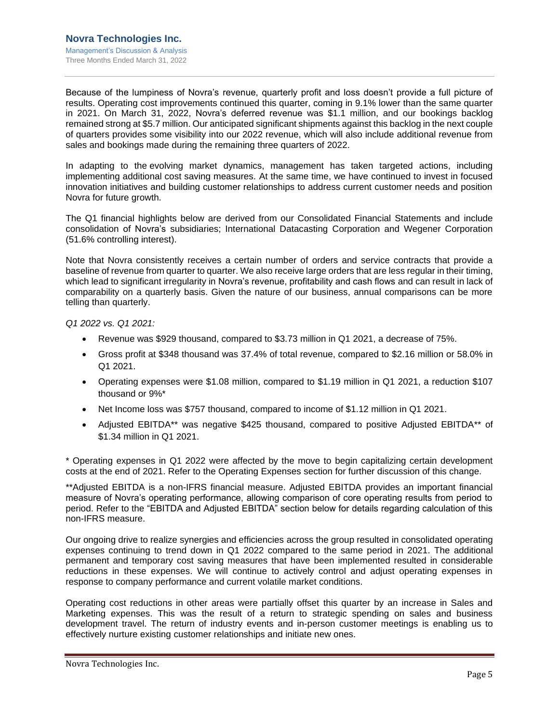Because of the lumpiness of Novra's revenue, quarterly profit and loss doesn't provide a full picture of results. Operating cost improvements continued this quarter, coming in 9.1% lower than the same quarter in 2021. On March 31, 2022, Novra's deferred revenue was \$1.1 million, and our bookings backlog remained strong at \$5.7 million. Our anticipated significant shipments against this backlog in the next couple of quarters provides some visibility into our 2022 revenue, which will also include additional revenue from sales and bookings made during the remaining three quarters of 2022.

In adapting to the evolving market dynamics, management has taken targeted actions, including implementing additional cost saving measures. At the same time, we have continued to invest in focused innovation initiatives and building customer relationships to address current customer needs and position Novra for future growth.

The Q1 financial highlights below are derived from our Consolidated Financial Statements and include consolidation of Novra's subsidiaries; International Datacasting Corporation and Wegener Corporation (51.6% controlling interest).

Note that Novra consistently receives a certain number of orders and service contracts that provide a baseline of revenue from quarter to quarter. We also receive large orders that are less regular in their timing, which lead to significant irregularity in Novra's revenue, profitability and cash flows and can result in lack of comparability on a quarterly basis. Given the nature of our business, annual comparisons can be more telling than quarterly.

*Q1 2022 vs. Q1 2021:*

- Revenue was \$929 thousand, compared to \$3.73 million in Q1 2021, a decrease of 75%.
- Gross profit at \$348 thousand was 37.4% of total revenue, compared to \$2.16 million or 58.0% in Q1 2021.
- Operating expenses were \$1.08 million, compared to \$1.19 million in Q1 2021, a reduction \$107 thousand or 9%\*
- Net Income loss was \$757 thousand, compared to income of \$1.12 million in Q1 2021.
- Adjusted EBITDA\*\* was negative \$425 thousand, compared to positive Adjusted EBITDA\*\* of \$1.34 million in Q1 2021.

\* Operating expenses in Q1 2022 were affected by the move to begin capitalizing certain development costs at the end of 2021. Refer to the Operating Expenses section for further discussion of this change.

\*\*Adjusted EBITDA is a non-IFRS financial measure. Adjusted EBITDA provides an important financial measure of Novra's operating performance, allowing comparison of core operating results from period to period. Refer to the "EBITDA and Adjusted EBITDA" section below for details regarding calculation of this non-IFRS measure.

Our ongoing drive to realize synergies and efficiencies across the group resulted in consolidated operating expenses continuing to trend down in Q1 2022 compared to the same period in 2021. The additional permanent and temporary cost saving measures that have been implemented resulted in considerable reductions in these expenses. We will continue to actively control and adjust operating expenses in response to company performance and current volatile market conditions.

Operating cost reductions in other areas were partially offset this quarter by an increase in Sales and Marketing expenses. This was the result of a return to strategic spending on sales and business development travel. The return of industry events and in-person customer meetings is enabling us to effectively nurture existing customer relationships and initiate new ones.

Novra Technologies Inc.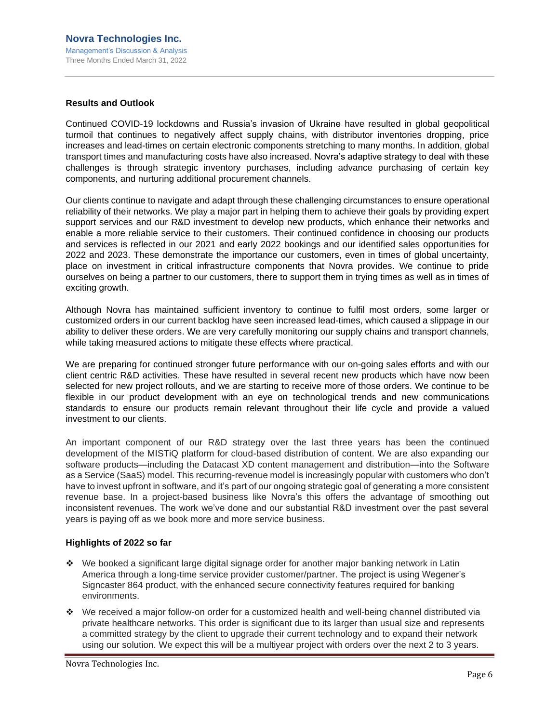## <span id="page-6-0"></span>**Results and Outlook**

Continued COVID-19 lockdowns and Russia's invasion of Ukraine have resulted in global geopolitical turmoil that continues to negatively affect supply chains, with distributor inventories dropping, price increases and lead-times on certain electronic components stretching to many months. In addition, global transport times and manufacturing costs have also increased. Novra's adaptive strategy to deal with these challenges is through strategic inventory purchases, including advance purchasing of certain key components, and nurturing additional procurement channels.

Our clients continue to navigate and adapt through these challenging circumstances to ensure operational reliability of their networks. We play a major part in helping them to achieve their goals by providing expert support services and our R&D investment to develop new products, which enhance their networks and enable a more reliable service to their customers. Their continued confidence in choosing our products and services is reflected in our 2021 and early 2022 bookings and our identified sales opportunities for 2022 and 2023. These demonstrate the importance our customers, even in times of global uncertainty, place on investment in critical infrastructure components that Novra provides. We continue to pride ourselves on being a partner to our customers, there to support them in trying times as well as in times of exciting growth.

Although Novra has maintained sufficient inventory to continue to fulfil most orders, some larger or customized orders in our current backlog have seen increased lead-times, which caused a slippage in our ability to deliver these orders. We are very carefully monitoring our supply chains and transport channels, while taking measured actions to mitigate these effects where practical.

We are preparing for continued stronger future performance with our on-going sales efforts and with our client centric R&D activities. These have resulted in several recent new products which have now been selected for new project rollouts, and we are starting to receive more of those orders. We continue to be flexible in our product development with an eye on technological trends and new communications standards to ensure our products remain relevant throughout their life cycle and provide a valued investment to our clients.

An important component of our R&D strategy over the last three years has been the continued development of the MISTiQ platform for cloud-based distribution of content. We are also expanding our software products—including the Datacast XD content management and distribution—into the Software as a Service (SaaS) model. This recurring-revenue model is increasingly popular with customers who don't have to invest upfront in software, and it's part of our ongoing strategic goal of generating a more consistent revenue base. In a project-based business like Novra's this offers the advantage of smoothing out inconsistent revenues. The work we've done and our substantial R&D investment over the past several years is paying off as we book more and more service business.

## <span id="page-6-1"></span>**Highlights of 2022 so far**

- ❖ We booked a significant large digital signage order for another major banking network in Latin America through a long-time service provider customer/partner. The project is using Wegener's Signcaster 864 product, with the enhanced secure connectivity features required for banking environments.
- ❖ We received a major follow-on order for a customized health and well-being channel distributed via private healthcare networks. This order is significant due to its larger than usual size and represents a committed strategy by the client to upgrade their current technology and to expand their network using our solution. We expect this will be a multiyear project with orders over the next 2 to 3 years.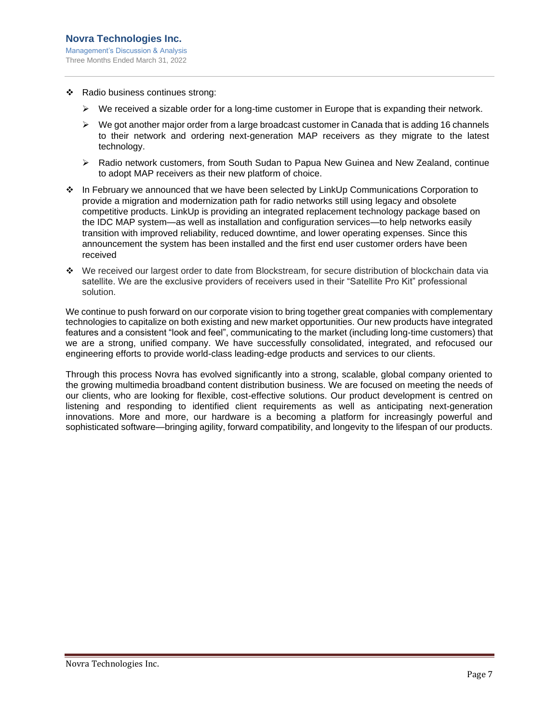- ❖ Radio business continues strong:
	- $\triangleright$  We received a sizable order for a long-time customer in Europe that is expanding their network.
	- ➢ We got another major order from a large broadcast customer in Canada that is adding 16 channels to their network and ordering next-generation MAP receivers as they migrate to the latest technology.
	- ➢ Radio network customers, from South Sudan to Papua New Guinea and New Zealand, continue to adopt MAP receivers as their new platform of choice.
- ❖ In February we announced that we have been selected by LinkUp Communications Corporation to provide a migration and modernization path for radio networks still using legacy and obsolete competitive products. LinkUp is providing an integrated replacement technology package based on the IDC MAP system—as well as installation and configuration services—to help networks easily transition with improved reliability, reduced downtime, and lower operating expenses. Since this announcement the system has been installed and the first end user customer orders have been received
- ❖ We received our largest order to date from Blockstream, for secure distribution of blockchain data via satellite. We are the exclusive providers of receivers used in their "Satellite Pro Kit" professional solution.

We continue to push forward on our corporate vision to bring together great companies with complementary technologies to capitalize on both existing and new market opportunities. Our new products have integrated features and a consistent "look and feel", communicating to the market (including long-time customers) that we are a strong, unified company. We have successfully consolidated, integrated, and refocused our engineering efforts to provide world-class leading-edge products and services to our clients.

Through this process Novra has evolved significantly into a strong, scalable, global company oriented to the growing multimedia broadband content distribution business. We are focused on meeting the needs of our clients, who are looking for flexible, cost-effective solutions. Our product development is centred on listening and responding to identified client requirements as well as anticipating next-generation innovations. More and more, our hardware is a becoming a platform for increasingly powerful and sophisticated software—bringing agility, forward compatibility, and longevity to the lifespan of our products.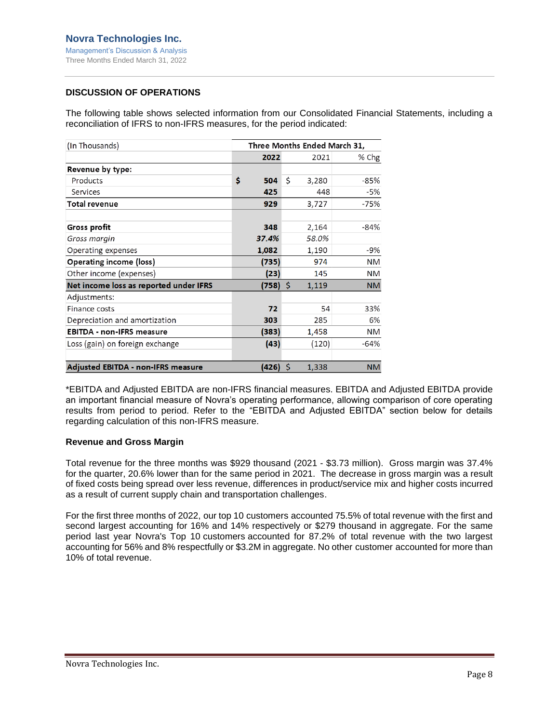## <span id="page-8-0"></span>**DISCUSSION OF OPERATIONS**

The following table shows selected information from our Consolidated Financial Statements, including a reconciliation of IFRS to non-IFRS measures, for the period indicated:

| (In Thousands)                         | Three Months Ended March 31, |    |       |           |  |  |  |  |
|----------------------------------------|------------------------------|----|-------|-----------|--|--|--|--|
|                                        | 2022                         |    | 2021  | % Chg     |  |  |  |  |
| Revenue by type:                       |                              |    |       |           |  |  |  |  |
| Products                               | \$<br>504                    | \$ | 3,280 | $-85%$    |  |  |  |  |
| Services                               | 425                          |    | 448   | -5%       |  |  |  |  |
| <b>Total revenue</b>                   | 929                          |    | 3,727 | $-75%$    |  |  |  |  |
|                                        | 348                          |    |       | $-84%$    |  |  |  |  |
| Gross profit                           |                              |    | 2,164 |           |  |  |  |  |
| Gross margin                           | 37.4%                        |    | 58.0% |           |  |  |  |  |
| Operating expenses                     | 1,082                        |    | 1,190 | -9%       |  |  |  |  |
| <b>Operating income (loss)</b>         | (735)                        |    | 974   | <b>NM</b> |  |  |  |  |
| Other income (expenses)                | (23)                         |    | 145   | ΝM        |  |  |  |  |
| Net income loss as reported under IFRS | (758)                        | Ŝ. | 1,119 | <b>NM</b> |  |  |  |  |
| Adjustments:                           |                              |    |       |           |  |  |  |  |
| Finance costs                          | 72                           |    | 54    | 33%       |  |  |  |  |
| Depreciation and amortization          | 303                          |    | 285   | 6%        |  |  |  |  |
| <b>EBITDA - non-IFRS measure</b>       | (383)                        |    | 1,458 | NM.       |  |  |  |  |
| Loss (gain) on foreign exchange        | (43)                         |    | (120) | $-64%$    |  |  |  |  |
|                                        |                              |    |       |           |  |  |  |  |
| Adjusted EBITDA - non-IFRS measure     | (426) \$                     |    | 1,338 | <b>NM</b> |  |  |  |  |

\*EBITDA and Adjusted EBITDA are non-IFRS financial measures. EBITDA and Adjusted EBITDA provide an important financial measure of Novra's operating performance, allowing comparison of core operating results from period to period. Refer to the "EBITDA and Adjusted EBITDA" section below for details regarding calculation of this non-IFRS measure.

## <span id="page-8-1"></span>**Revenue and Gross Margin**

Total revenue for the three months was \$929 thousand (2021 - \$3.73 million). Gross margin was 37.4% for the quarter, 20.6% lower than for the same period in 2021. The decrease in gross margin was a result of fixed costs being spread over less revenue, differences in product/service mix and higher costs incurred as a result of current supply chain and transportation challenges.

For the first three months of 2022, our top 10 customers accounted 75.5% of total revenue with the first and second largest accounting for 16% and 14% respectively or \$279 thousand in aggregate. For the same period last year Novra's Top 10 customers accounted for 87.2% of total revenue with the two largest accounting for 56% and 8% respectfully or \$3.2M in aggregate. No other customer accounted for more than 10% of total revenue.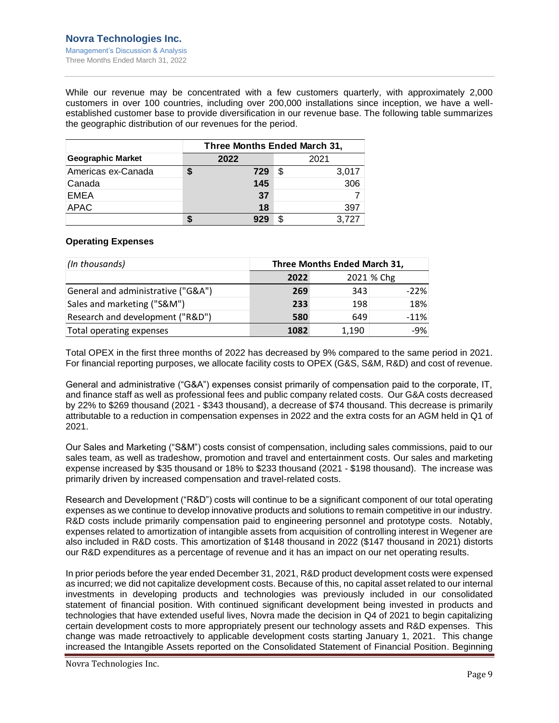While our revenue may be concentrated with a few customers quarterly, with approximately 2,000 customers in over 100 countries, including over 200,000 installations since inception, we have a wellestablished customer base to provide diversification in our revenue base. The following table summarizes the geographic distribution of our revenues for the period.

|                          |              | Three Months Ended March 31, |    |       |  |  |  |  |  |  |  |
|--------------------------|--------------|------------------------------|----|-------|--|--|--|--|--|--|--|
| <b>Geographic Market</b> | 2022<br>2021 |                              |    |       |  |  |  |  |  |  |  |
| Americas ex-Canada       |              | 729                          | \$ | 3,017 |  |  |  |  |  |  |  |
| Canada                   |              | 145                          |    | 306   |  |  |  |  |  |  |  |
| <b>EMEA</b>              |              | 37                           |    |       |  |  |  |  |  |  |  |
| APAC                     |              | 18                           |    | 397   |  |  |  |  |  |  |  |
|                          |              |                              |    | 3.727 |  |  |  |  |  |  |  |

## <span id="page-9-0"></span>**Operating Expenses**

| (In thousands)                     | Three Months Ended March 31, |       |            |  |  |  |  |
|------------------------------------|------------------------------|-------|------------|--|--|--|--|
|                                    | 2022                         |       | 2021 % Chg |  |  |  |  |
| General and administrative ("G&A") | 269                          | 343   | $-22%$     |  |  |  |  |
| Sales and marketing ("S&M")        | 233                          | 198   | 18%        |  |  |  |  |
| Research and development ("R&D")   | 580                          | 649   | $-11%$     |  |  |  |  |
| Total operating expenses           | 1082                         | 1,190 | $-9%$      |  |  |  |  |

Total OPEX in the first three months of 2022 has decreased by 9% compared to the same period in 2021. For financial reporting purposes, we allocate facility costs to OPEX (G&S, S&M, R&D) and cost of revenue.

General and administrative ("G&A") expenses consist primarily of compensation paid to the corporate, IT, and finance staff as well as professional fees and public company related costs. Our G&A costs decreased by 22% to \$269 thousand (2021 - \$343 thousand), a decrease of \$74 thousand. This decrease is primarily attributable to a reduction in compensation expenses in 2022 and the extra costs for an AGM held in Q1 of 2021.

Our Sales and Marketing ("S&M") costs consist of compensation, including sales commissions, paid to our sales team, as well as tradeshow, promotion and travel and entertainment costs. Our sales and marketing expense increased by \$35 thousand or 18% to \$233 thousand (2021 - \$198 thousand). The increase was primarily driven by increased compensation and travel-related costs.

Research and Development ("R&D") costs will continue to be a significant component of our total operating expenses as we continue to develop innovative products and solutions to remain competitive in our industry. R&D costs include primarily compensation paid to engineering personnel and prototype costs. Notably, expenses related to amortization of intangible assets from acquisition of controlling interest in Wegener are also included in R&D costs. This amortization of \$148 thousand in 2022 (\$147 thousand in 2021) distorts our R&D expenditures as a percentage of revenue and it has an impact on our net operating results.

In prior periods before the year ended December 31, 2021, R&D product development costs were expensed as incurred; we did not capitalize development costs. Because of this, no capital asset related to our internal investments in developing products and technologies was previously included in our consolidated statement of financial position. With continued significant development being invested in products and technologies that have extended useful lives, Novra made the decision in Q4 of 2021 to begin capitalizing certain development costs to more appropriately present our technology assets and R&D expenses. This change was made retroactively to applicable development costs starting January 1, 2021. This change increased the Intangible Assets reported on the Consolidated Statement of Financial Position. Beginning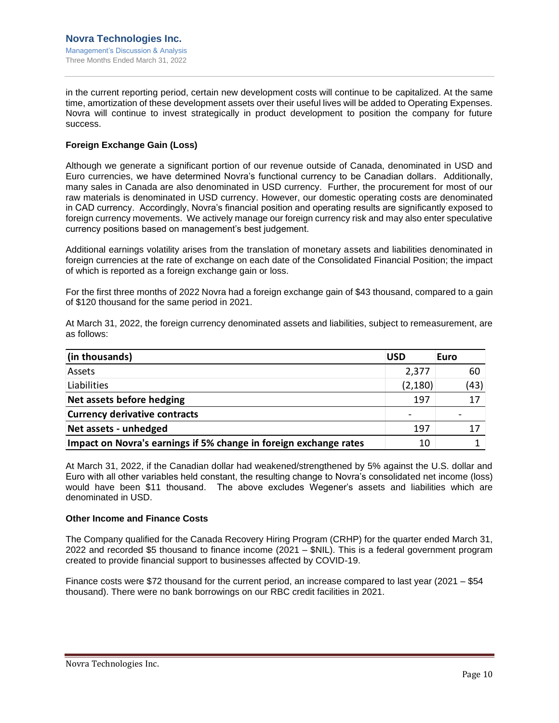in the current reporting period, certain new development costs will continue to be capitalized. At the same time, amortization of these development assets over their useful lives will be added to Operating Expenses. Novra will continue to invest strategically in product development to position the company for future success.

## <span id="page-10-0"></span>**Foreign Exchange Gain (Loss)**

Although we generate a significant portion of our revenue outside of Canada, denominated in USD and Euro currencies, we have determined Novra's functional currency to be Canadian dollars. Additionally, many sales in Canada are also denominated in USD currency. Further, the procurement for most of our raw materials is denominated in USD currency. However, our domestic operating costs are denominated in CAD currency. Accordingly, Novra's financial position and operating results are significantly exposed to foreign currency movements. We actively manage our foreign currency risk and may also enter speculative currency positions based on management's best judgement.

Additional earnings volatility arises from the translation of monetary assets and liabilities denominated in foreign currencies at the rate of exchange on each date of the Consolidated Financial Position; the impact of which is reported as a foreign exchange gain or loss.

For the first three months of 2022 Novra had a foreign exchange gain of \$43 thousand, compared to a gain of \$120 thousand for the same period in 2021.

At March 31, 2022, the foreign currency denominated assets and liabilities, subject to remeasurement, are as follows:

| (in thousands)                                                    | <b>USD</b> | Euro |
|-------------------------------------------------------------------|------------|------|
| Assets                                                            | 2,377      | 60   |
| Liabilities                                                       | (2, 180)   | (43) |
| Net assets before hedging                                         | 197        | 17   |
| <b>Currency derivative contracts</b>                              |            |      |
| Net assets - unhedged                                             | 197        |      |
| Impact on Novra's earnings if 5% change in foreign exchange rates | 10         |      |

At March 31, 2022, if the Canadian dollar had weakened/strengthened by 5% against the U.S. dollar and Euro with all other variables held constant, the resulting change to Novra's consolidated net income (loss) would have been \$11 thousand. The above excludes Wegener's assets and liabilities which are denominated in USD.

## <span id="page-10-1"></span>**Other Income and Finance Costs**

The Company qualified for the Canada Recovery Hiring Program (CRHP) for the quarter ended March 31, 2022 and recorded \$5 thousand to finance income (2021 – \$NIL). This is a federal government program created to provide financial support to businesses affected by COVID-19.

Finance costs were \$72 thousand for the current period, an increase compared to last year (2021 – \$54 thousand). There were no bank borrowings on our RBC credit facilities in 2021.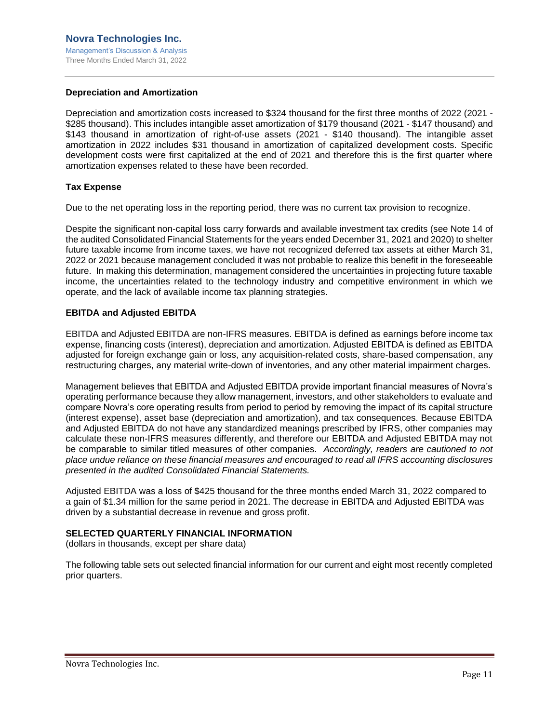## <span id="page-11-0"></span>**Depreciation and Amortization**

Depreciation and amortization costs increased to \$324 thousand for the first three months of 2022 (2021 - \$285 thousand). This includes intangible asset amortization of \$179 thousand (2021 - \$147 thousand) and \$143 thousand in amortization of right-of-use assets (2021 - \$140 thousand). The intangible asset amortization in 2022 includes \$31 thousand in amortization of capitalized development costs. Specific development costs were first capitalized at the end of 2021 and therefore this is the first quarter where amortization expenses related to these have been recorded.

## <span id="page-11-1"></span>**Tax Expense**

Due to the net operating loss in the reporting period, there was no current tax provision to recognize.

Despite the significant non-capital loss carry forwards and available investment tax credits (see Note 14 of the audited Consolidated Financial Statements for the years ended December 31, 2021 and 2020) to shelter future taxable income from income taxes, we have not recognized deferred tax assets at either March 31, 2022 or 2021 because management concluded it was not probable to realize this benefit in the foreseeable future. In making this determination, management considered the uncertainties in projecting future taxable income, the uncertainties related to the technology industry and competitive environment in which we operate, and the lack of available income tax planning strategies.

## <span id="page-11-2"></span>**EBITDA and Adjusted EBITDA**

EBITDA and Adjusted EBITDA are non-IFRS measures. EBITDA is defined as earnings before income tax expense, financing costs (interest), depreciation and amortization. Adjusted EBITDA is defined as EBITDA adjusted for foreign exchange gain or loss, any acquisition-related costs, share-based compensation, any restructuring charges, any material write-down of inventories, and any other material impairment charges.

Management believes that EBITDA and Adjusted EBITDA provide important financial measures of Novra's operating performance because they allow management, investors, and other stakeholders to evaluate and compare Novra's core operating results from period to period by removing the impact of its capital structure (interest expense), asset base (depreciation and amortization), and tax consequences. Because EBITDA and Adjusted EBITDA do not have any standardized meanings prescribed by IFRS, other companies may calculate these non-IFRS measures differently, and therefore our EBITDA and Adjusted EBITDA may not be comparable to similar titled measures of other companies. *Accordingly, readers are cautioned to not place undue reliance on these financial measures and encouraged to read all IFRS accounting disclosures presented in the audited Consolidated Financial Statements.*

Adjusted EBITDA was a loss of \$425 thousand for the three months ended March 31, 2022 compared to a gain of \$1.34 million for the same period in 2021. The decrease in EBITDA and Adjusted EBITDA was driven by a substantial decrease in revenue and gross profit.

## <span id="page-11-3"></span>**SELECTED QUARTERLY FINANCIAL INFORMATION**

(dollars in thousands, except per share data)

The following table sets out selected financial information for our current and eight most recently completed prior quarters.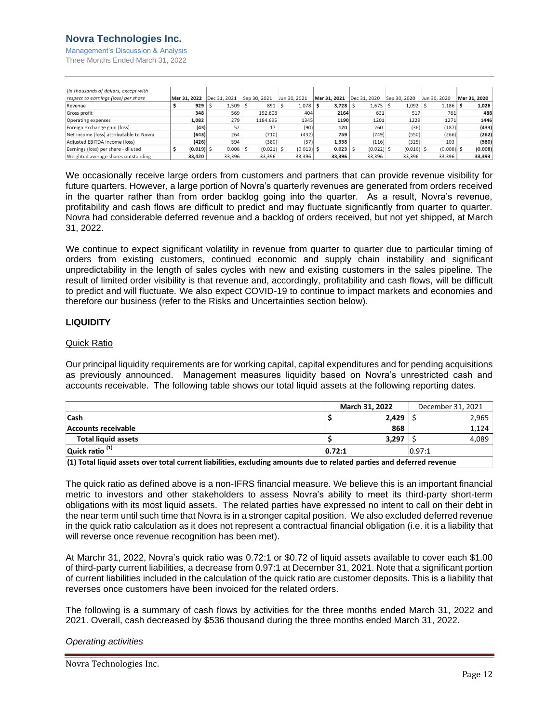## **Novra Technologies Inc.**

Management's Discussion & Analysis Three Months Ended March 31, 2022

| (In thousands of dollars, except with   |              |             |              |              |              |              |              |              |              |              |
|-----------------------------------------|--------------|-------------|--------------|--------------|--------------|--------------|--------------|--------------|--------------|--------------|
| respect to earnings (loss) per share    | Mar 31, 2022 |             | Dec 31, 2021 | Sep 30, 2021 | Jun 30, 2021 | Mar 31, 2021 | Dec 31, 2020 | Sep 30, 2020 | Jun 30, 2020 | Mar 31, 2020 |
| Revenue                                 |              | 929         | $1,509$ \$   | $891$ \$     | 1,078        | 3,728        | $1,675$ \$   | $1,092$ \$   | 1,186        | 1,026        |
| Gross profit                            |              | 348         | 569          | 192.608      | 404          | 2164         | 631          | 517          | 761          | 488          |
| Operating expenses                      |              | 1,082       | 279          | 1184.695     | 1345         | 1190         | 1201         | 1229         | 1271         | 1446         |
| Foreign exchange gain (loss)            |              | (43)        | 52           | 17           | (90)         | 120          | 260          | (36)         | (187)        | (433)        |
| Net income (loss) attributable to Novra |              | (643)       | 264          | (710)        | (432)        | 759          | (749)        | (550)        | (266)        | (262)        |
| Adjusted EBITDA Income (loss)           |              | (426)       | 594          | (380)        | (57)         | 1,338        | (116)        | (325)        | 103          | (580)        |
| Earnings (loss) per share - diluted     |              | $(0.019)$ S | $0.008$ \$   | $(0.021)$ \$ | $(0.013)$ \$ | 0.023        | $(0.022)$ \$ | $(0.016)$ \$ | (0.008)      | (0.008)      |
| Weighted average shares outstanding     |              | 33,420      | 33.396       | 33,396       | 33,396       | 33,396       | 33,396       | 33,396       | 33.396       | 33,393       |

We occasionally receive large orders from customers and partners that can provide revenue visibility for future quarters. However, a large portion of Novra's quarterly revenues are generated from orders received in the quarter rather than from order backlog going into the quarter. As a result, Novra's revenue, profitability and cash flows are difficult to predict and may fluctuate significantly from quarter to quarter. Novra had considerable deferred revenue and a backlog of orders received, but not yet shipped, at March 31, 2022.

We continue to expect significant volatility in revenue from quarter to quarter due to particular timing of orders from existing customers, continued economic and supply chain instability and significant unpredictability in the length of sales cycles with new and existing customers in the sales pipeline. The result of limited order visibility is that revenue and, accordingly, profitability and cash flows, will be difficult to predict and will fluctuate. We also expect COVID-19 to continue to impact markets and economies and therefore our business (refer to the Risks and Uncertainties section below).

## <span id="page-12-0"></span>**LIQUIDITY**

## Quick Ratio

Our principal liquidity requirements are for working capital, capital expenditures and for pending acquisitions as previously announced. Management measures liquidity based on Novra's unrestricted cash and accounts receivable. The following table shows our total liquid assets at the following reporting dates.

|                            |        | March 31, 2022 |        | December 31, 2021 |
|----------------------------|--------|----------------|--------|-------------------|
| Cash                       |        | 2.429          |        | 2,965             |
| <b>Accounts receivable</b> |        | 868            |        | 1,124             |
| <b>Total liquid assets</b> |        | 3,297          |        | 4,089             |
| Quick ratio <sup>(1)</sup> | 0.72:1 |                | 0.97:1 |                   |

**(1) Total liquid assets over total current liabilities, excluding amounts due to related parties and deferred revenue**

The quick ratio as defined above is a non-IFRS financial measure. We believe this is an important financial metric to investors and other stakeholders to assess Novra's ability to meet its third-party short-term obligations with its most liquid assets. The related parties have expressed no intent to call on their debt in the near term until such time that Novra is in a stronger capital position. We also excluded deferred revenue in the quick ratio calculation as it does not represent a contractual financial obligation (i.e. it is a liability that will reverse once revenue recognition has been met).

At Marchr 31, 2022, Novra's quick ratio was 0.72:1 or \$0.72 of liquid assets available to cover each \$1.00 of third-party current liabilities, a decrease from 0.97:1 at December 31, 2021. Note that a significant portion of current liabilities included in the calculation of the quick ratio are customer deposits. This is a liability that reverses once customers have been invoiced for the related orders.

The following is a summary of cash flows by activities for the three months ended March 31, 2022 and 2021. Overall, cash decreased by \$536 thousand during the three months ended March 31, 2022.

## *Operating activities*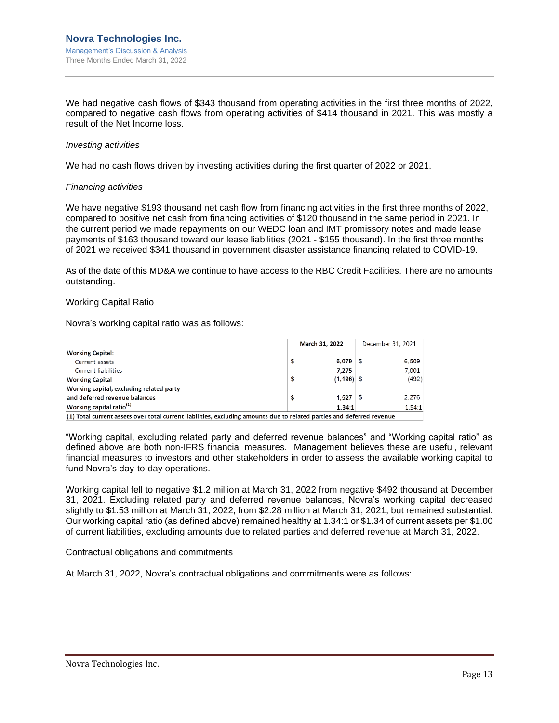We had negative cash flows of \$343 thousand from operating activities in the first three months of 2022, compared to negative cash flows from operating activities of \$414 thousand in 2021. This was mostly a result of the Net Income loss.

#### *Investing activities*

We had no cash flows driven by investing activities during the first quarter of 2022 or 2021.

#### *Financing activities*

We have negative \$193 thousand net cash flow from financing activities in the first three months of 2022, compared to positive net cash from financing activities of \$120 thousand in the same period in 2021. In the current period we made repayments on our WEDC loan and IMT promissory notes and made lease payments of \$163 thousand toward our lease liabilities (2021 - \$155 thousand). In the first three months of 2021 we received \$341 thousand in government disaster assistance financing related to COVID-19.

As of the date of this MD&A we continue to have access to the RBC Credit Facilities. There are no amounts outstanding.

#### Working Capital Ratio

Novra's working capital ratio was as follows:

|        |     | December 31, 2021 |  |  |
|--------|-----|-------------------|--|--|
|        |     |                   |  |  |
| 6.079  | S   | 6.509             |  |  |
| 7.275  |     | 7,001             |  |  |
|        |     | (492)             |  |  |
|        |     |                   |  |  |
| 1.527  | - S | 2.276             |  |  |
| 1.34:1 |     | 1.54:1            |  |  |
|        |     | $(1, 196)$ \$     |  |  |

(1) Total current assets over total current liabilities, excluding amounts due to related parties and deferred revenue

"Working capital, excluding related party and deferred revenue balances" and "Working capital ratio" as defined above are both non-IFRS financial measures. Management believes these are useful, relevant financial measures to investors and other stakeholders in order to assess the available working capital to fund Novra's day-to-day operations.

Working capital fell to negative \$1.2 million at March 31, 2022 from negative \$492 thousand at December 31, 2021. Excluding related party and deferred revenue balances, Novra's working capital decreased slightly to \$1.53 million at March 31, 2022, from \$2.28 million at March 31, 2021, but remained substantial. Our working capital ratio (as defined above) remained healthy at 1.34:1 or \$1.34 of current assets per \$1.00 of current liabilities, excluding amounts due to related parties and deferred revenue at March 31, 2022.

#### Contractual obligations and commitments

At March 31, 2022, Novra's contractual obligations and commitments were as follows: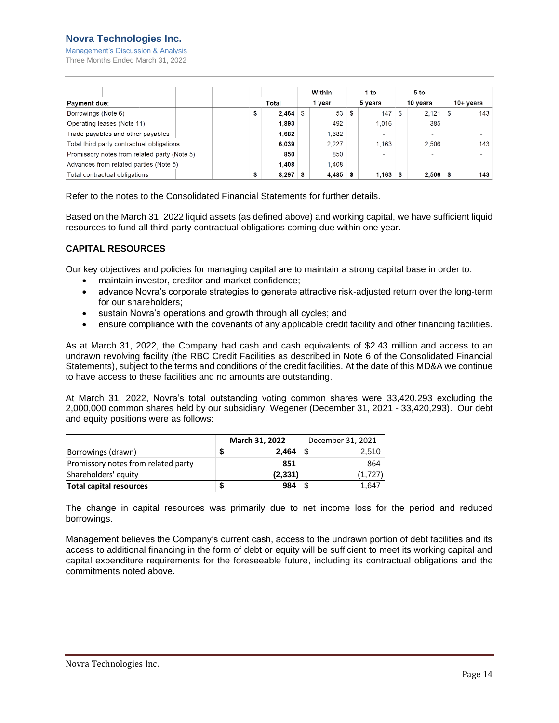## **Novra Technologies Inc.**

Management's Discussion & Analysis Three Months Ended March 31, 2022

|                                              | Total |       | Within<br>1 year |            | 1 to<br>5 years |                          | 5 to<br>10 years |            |             |                          |
|----------------------------------------------|-------|-------|------------------|------------|-----------------|--------------------------|------------------|------------|-------------|--------------------------|
| <b>Payment due:</b>                          |       |       |                  |            |                 |                          |                  |            | $10+$ years |                          |
| Borrowings (Note 6)                          | \$    | 2.464 | -S               | 53 \$      |                 | 147                      | \$               | 2.121      | ՝ \$        | 143                      |
| Operating leases (Note 11)                   |       | 1,893 |                  | 492        |                 | 1.016                    |                  | 385        |             | $\overline{\phantom{0}}$ |
| Trade payables and other payables            |       | 1,682 |                  | 1.682      |                 | $\overline{\phantom{a}}$ |                  | ۰          |             | -                        |
| Total third party contractual obligations    |       | 6,039 |                  | 2.227      |                 | .163                     |                  | 2.506      |             | 143                      |
| Promissory notes from related party (Note 5) |       | 850   |                  | 850        |                 | $\overline{\phantom{0}}$ |                  | -          |             | $\overline{\phantom{0}}$ |
| Advances from related parties (Note 5)       |       | 1.408 |                  | 1.408      |                 | ۰                        |                  | -          |             | -                        |
| Total contractual obligations                | \$    | 8,297 | S                | $4,485$ \$ |                 | .163                     | -S               | $2,506$ \$ |             | 143                      |

Refer to the notes to the Consolidated Financial Statements for further details.

Based on the March 31, 2022 liquid assets (as defined above) and working capital, we have sufficient liquid resources to fund all third-party contractual obligations coming due within one year.

## <span id="page-14-0"></span>**CAPITAL RESOURCES**

Our key objectives and policies for managing capital are to maintain a strong capital base in order to:

- maintain investor, creditor and market confidence;
- advance Novra's corporate strategies to generate attractive risk-adjusted return over the long-term for our shareholders;
- sustain Novra's operations and growth through all cycles; and
- ensure compliance with the covenants of any applicable credit facility and other financing facilities.

As at March 31, 2022, the Company had cash and cash equivalents of \$2.43 million and access to an undrawn revolving facility (the RBC Credit Facilities as described in Note 6 of the Consolidated Financial Statements), subject to the terms and conditions of the credit facilities. At the date of this MD&A we continue to have access to these facilities and no amounts are outstanding.

At March 31, 2022, Novra's total outstanding voting common shares were 33,420,293 excluding the 2,000,000 common shares held by our subsidiary, Wegener (December 31, 2021 - 33,420,293). Our debt and equity positions were as follows:

|                                     |   | March 31, 2022 | December 31, 2021 |
|-------------------------------------|---|----------------|-------------------|
| Borrowings (drawn)                  |   | $2.464$ \$     | 2.510             |
| Promissory notes from related party |   | 851            | 864               |
| Shareholders' equity                |   | (2,331)        | (1,727)           |
| <b>Total capital resources</b>      | S | 984            | 1.647             |

The change in capital resources was primarily due to net income loss for the period and reduced borrowings.

Management believes the Company's current cash, access to the undrawn portion of debt facilities and its access to additional financing in the form of debt or equity will be sufficient to meet its working capital and capital expenditure requirements for the foreseeable future, including its contractual obligations and the commitments noted above.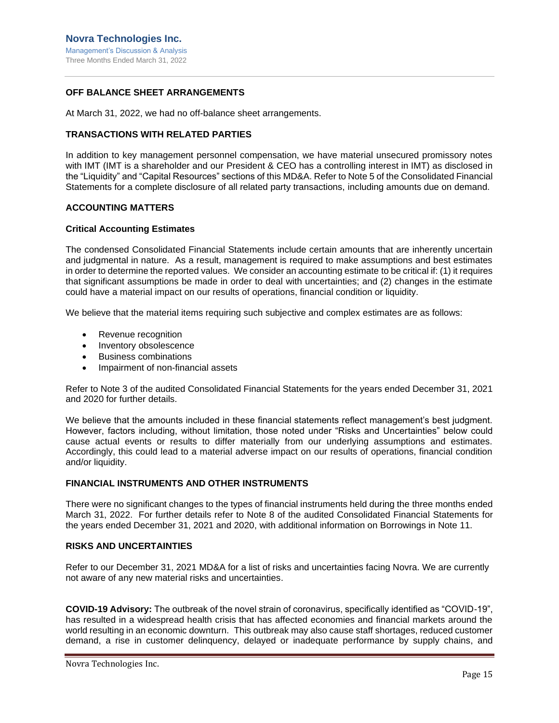## <span id="page-15-0"></span>**OFF BALANCE SHEET ARRANGEMENTS**

At March 31, 2022, we had no off-balance sheet arrangements.

#### <span id="page-15-1"></span>**TRANSACTIONS WITH RELATED PARTIES**

In addition to key management personnel compensation, we have material unsecured promissory notes with IMT (IMT is a shareholder and our President & CEO has a controlling interest in IMT) as disclosed in the "Liquidity" and "Capital Resources" sections of this MD&A. Refer to Note 5 of the Consolidated Financial Statements for a complete disclosure of all related party transactions, including amounts due on demand.

## <span id="page-15-2"></span>**ACCOUNTING MATTERS**

## <span id="page-15-3"></span>**Critical Accounting Estimates**

The condensed Consolidated Financial Statements include certain amounts that are inherently uncertain and judgmental in nature. As a result, management is required to make assumptions and best estimates in order to determine the reported values. We consider an accounting estimate to be critical if: (1) it requires that significant assumptions be made in order to deal with uncertainties; and (2) changes in the estimate could have a material impact on our results of operations, financial condition or liquidity.

We believe that the material items requiring such subjective and complex estimates are as follows:

- Revenue recognition
- Inventory obsolescence
- Business combinations
- Impairment of non-financial assets

Refer to Note 3 of the audited Consolidated Financial Statements for the years ended December 31, 2021 and 2020 for further details.

We believe that the amounts included in these financial statements reflect management's best judgment. However, factors including, without limitation, those noted under "Risks and Uncertainties" below could cause actual events or results to differ materially from our underlying assumptions and estimates. Accordingly, this could lead to a material adverse impact on our results of operations, financial condition and/or liquidity.

## <span id="page-15-4"></span>**FINANCIAL INSTRUMENTS AND OTHER INSTRUMENTS**

There were no significant changes to the types of financial instruments held during the three months ended March 31, 2022. For further details refer to Note 8 of the audited Consolidated Financial Statements for the years ended December 31, 2021 and 2020, with additional information on Borrowings in Note 11.

## <span id="page-15-5"></span>**RISKS AND UNCERTAINTIES**

Refer to our December 31, 2021 MD&A for a list of risks and uncertainties facing Novra. We are currently not aware of any new material risks and uncertainties.

**COVID-19 Advisory:** The outbreak of the novel strain of coronavirus, specifically identified as "COVID-19", has resulted in a widespread health crisis that has affected economies and financial markets around the world resulting in an economic downturn. This outbreak may also cause staff shortages, reduced customer demand, a rise in customer delinquency, delayed or inadequate performance by supply chains, and